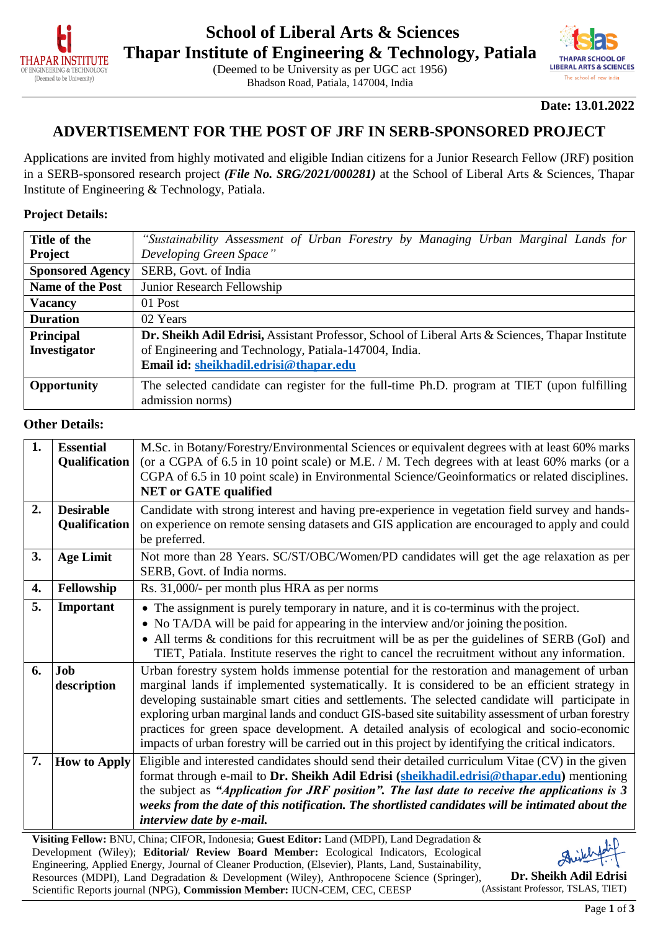

**THAPAR SCHOOL OF LIBERAL ARTS & SCIENCES** The school of new indic

**Date: 13.01.2022**

### **ADVERTISEMENT FOR THE POST OF JRF IN SERB-SPONSORED PROJECT**

Bhadson Road, Patiala, 147004, India

Applications are invited from highly motivated and eligible Indian citizens for a Junior Research Fellow (JRF) position in a SERB-sponsored research project *(File No. SRG/2021/000281)* at the School of Liberal Arts & Sciences, Thapar Institute of Engineering & Technology, Patiala.

#### **Project Details:**

| "Sustainability Assessment of Urban Forestry by Managing Urban Marginal Lands for                                                      |  |  |  |  |  |  |  |
|----------------------------------------------------------------------------------------------------------------------------------------|--|--|--|--|--|--|--|
| Developing Green Space"                                                                                                                |  |  |  |  |  |  |  |
| SERB, Govt. of India                                                                                                                   |  |  |  |  |  |  |  |
| Junior Research Fellowship                                                                                                             |  |  |  |  |  |  |  |
| 01 Post                                                                                                                                |  |  |  |  |  |  |  |
| 02 Years                                                                                                                               |  |  |  |  |  |  |  |
| Dr. Sheikh Adil Edrisi, Assistant Professor, School of Liberal Arts & Sciences, Thapar Institute                                       |  |  |  |  |  |  |  |
| of Engineering and Technology, Patiala-147004, India.                                                                                  |  |  |  |  |  |  |  |
| Email id: sheikhadil.edrisi@thapar.edu                                                                                                 |  |  |  |  |  |  |  |
| The selected candidate can register for the full-time Ph.D. program at TIET (upon fulfilling<br><b>Opportunity</b><br>admission norms) |  |  |  |  |  |  |  |
|                                                                                                                                        |  |  |  |  |  |  |  |

#### **Other Details:**

| 1. | <b>Essential</b><br>Qualification        | M.Sc. in Botany/Forestry/Environmental Sciences or equivalent degrees with at least 60% marks<br>(or a CGPA of 6.5 in 10 point scale) or M.E. / M. Tech degrees with at least 60% marks (or a                                                                                                                                                                                                                                                                                                                                                                                                               |
|----|------------------------------------------|-------------------------------------------------------------------------------------------------------------------------------------------------------------------------------------------------------------------------------------------------------------------------------------------------------------------------------------------------------------------------------------------------------------------------------------------------------------------------------------------------------------------------------------------------------------------------------------------------------------|
|    |                                          | CGPA of 6.5 in 10 point scale) in Environmental Science/Geoinformatics or related disciplines.<br><b>NET or GATE qualified</b>                                                                                                                                                                                                                                                                                                                                                                                                                                                                              |
| 2. | <b>Desirable</b><br><b>Qualification</b> | Candidate with strong interest and having pre-experience in vegetation field survey and hands-<br>on experience on remote sensing datasets and GIS application are encouraged to apply and could<br>be preferred.                                                                                                                                                                                                                                                                                                                                                                                           |
| 3. | <b>Age Limit</b>                         | Not more than 28 Years. SC/ST/OBC/Women/PD candidates will get the age relaxation as per<br>SERB, Govt. of India norms.                                                                                                                                                                                                                                                                                                                                                                                                                                                                                     |
| 4. | Fellowship                               | Rs. 31,000/- per month plus HRA as per norms                                                                                                                                                                                                                                                                                                                                                                                                                                                                                                                                                                |
| 5. | Important                                | • The assignment is purely temporary in nature, and it is co-terminus with the project.<br>• No TA/DA will be paid for appearing in the interview and/or joining the position.<br>• All terms & conditions for this recruitment will be as per the guidelines of SERB (GoI) and<br>TIET, Patiala. Institute reserves the right to cancel the recruitment without any information.                                                                                                                                                                                                                           |
| 6. | Job<br>description                       | Urban forestry system holds immense potential for the restoration and management of urban<br>marginal lands if implemented systematically. It is considered to be an efficient strategy in<br>developing sustainable smart cities and settlements. The selected candidate will participate in<br>exploring urban marginal lands and conduct GIS-based site suitability assessment of urban forestry<br>practices for green space development. A detailed analysis of ecological and socio-economic<br>impacts of urban forestry will be carried out in this project by identifying the critical indicators. |
| 7. | <b>How to Apply</b>                      | Eligible and interested candidates should send their detailed curriculum Vitae (CV) in the given<br>format through e-mail to Dr. Sheikh Adil Edrisi (sheikhadil.edrisi@thapar.edu) mentioning<br>the subject as "Application for JRF position". The last date to receive the applications is 3<br>weeks from the date of this notification. The shortlisted candidates will be intimated about the<br>interview date by e-mail.                                                                                                                                                                             |

**Visiting Fellow:** BNU, China; CIFOR, Indonesia; **Guest Editor:** Land (MDPI), Land Degradation & Development (Wiley); **Editorial/ Review Board Member:** Ecological Indicators, Ecological Engineering, Applied Energy, Journal of Cleaner Production, (Elsevier), Plants, Land, Sustainability, Resources (MDPI), Land Degradation & Development (Wiley), Anthropocene Science (Springer), Scientific Reports journal (NPG), **Commission Member:** IUCN-CEM, CEC, CEESP



**Dr. Sheikh Adil Edrisi** (Assistant Professor, TSLAS, TIET)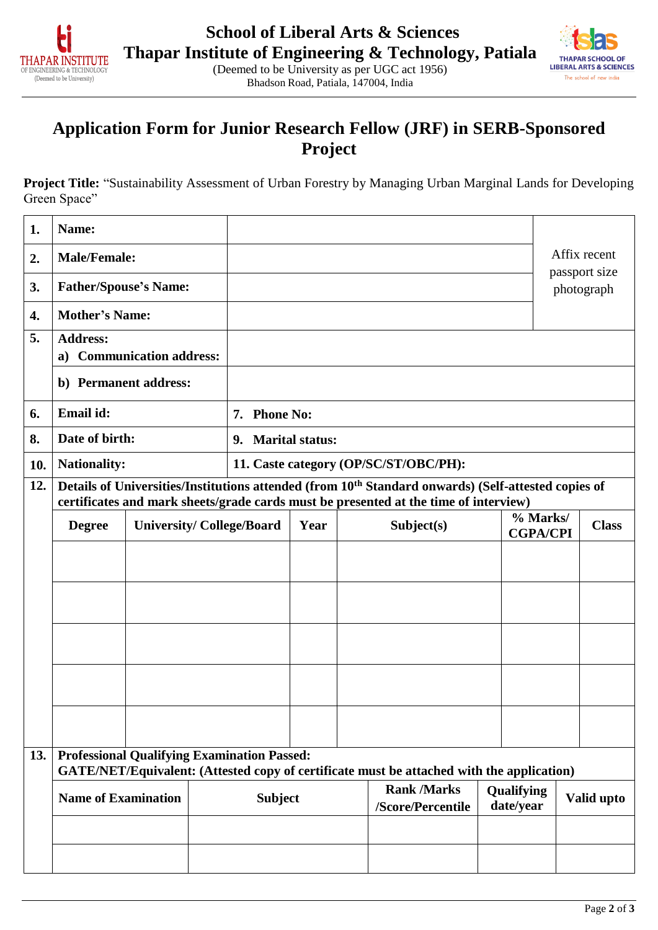



## **Application Form for Junior Research Fellow (JRF) in SERB-Sponsored Project**

**Project Title:** "Sustainability Assessment of Urban Forestry by Managing Urban Marginal Lands for Developing Green Space"

| 1.  | Name:                                                                                                                                                                                                   |  |  |                    |            |            |                                       |                             |           |              |                             |
|-----|---------------------------------------------------------------------------------------------------------------------------------------------------------------------------------------------------------|--|--|--------------------|------------|------------|---------------------------------------|-----------------------------|-----------|--------------|-----------------------------|
| 2.  | <b>Male/Female:</b>                                                                                                                                                                                     |  |  |                    |            |            |                                       |                             |           |              | Affix recent                |
| 3.  | <b>Father/Spouse's Name:</b>                                                                                                                                                                            |  |  |                    |            |            |                                       |                             |           |              | passport size<br>photograph |
| 4.  | <b>Mother's Name:</b>                                                                                                                                                                                   |  |  |                    |            |            |                                       |                             |           |              |                             |
| 5.  | <b>Address:</b>                                                                                                                                                                                         |  |  |                    |            |            |                                       |                             |           |              |                             |
|     | a) Communication address:                                                                                                                                                                               |  |  |                    |            |            |                                       |                             |           |              |                             |
|     | b) Permanent address:                                                                                                                                                                                   |  |  |                    |            |            |                                       |                             |           |              |                             |
| 6.  | Email id:                                                                                                                                                                                               |  |  | 7. Phone No:       |            |            |                                       |                             |           |              |                             |
| 8.  | Date of birth:                                                                                                                                                                                          |  |  | 9. Marital status: |            |            |                                       |                             |           |              |                             |
| 10. | <b>Nationality:</b>                                                                                                                                                                                     |  |  |                    |            |            | 11. Caste category (OP/SC/ST/OBC/PH): |                             |           |              |                             |
| 12. | Details of Universities/Institutions attended (from 10 <sup>th</sup> Standard onwards) (Self-attested copies of<br>certificates and mark sheets/grade cards must be presented at the time of interview) |  |  |                    |            |            |                                       |                             |           |              |                             |
|     | <b>Degree</b><br><b>University/College/Board</b>                                                                                                                                                        |  |  | Year               |            | Subject(s) |                                       | % Marks/<br><b>CGPA/CPI</b> |           | <b>Class</b> |                             |
|     |                                                                                                                                                                                                         |  |  |                    |            |            |                                       |                             |           |              |                             |
|     |                                                                                                                                                                                                         |  |  |                    |            |            |                                       |                             |           |              |                             |
|     |                                                                                                                                                                                                         |  |  |                    |            |            |                                       |                             |           |              |                             |
|     |                                                                                                                                                                                                         |  |  |                    |            |            |                                       |                             |           |              |                             |
|     |                                                                                                                                                                                                         |  |  |                    |            |            |                                       |                             |           |              |                             |
|     |                                                                                                                                                                                                         |  |  |                    |            |            |                                       |                             |           |              |                             |
|     |                                                                                                                                                                                                         |  |  |                    |            |            |                                       |                             |           |              |                             |
|     |                                                                                                                                                                                                         |  |  |                    |            |            |                                       |                             |           |              |                             |
|     |                                                                                                                                                                                                         |  |  |                    |            |            |                                       |                             |           |              |                             |
| 13. | <b>Professional Qualifying Examination Passed:</b><br>GATE/NET/Equivalent: (Attested copy of certificate must be attached with the application)                                                         |  |  |                    |            |            |                                       |                             |           |              |                             |
|     | <b>Rank /Marks</b><br><b>Name of Examination</b><br><b>Subject</b>                                                                                                                                      |  |  |                    | Qualifying |            | Valid upto                            |                             |           |              |                             |
|     |                                                                                                                                                                                                         |  |  |                    |            |            | /Score/Percentile                     |                             | date/year |              |                             |
|     |                                                                                                                                                                                                         |  |  |                    |            |            |                                       |                             |           |              |                             |
|     |                                                                                                                                                                                                         |  |  |                    |            |            |                                       |                             |           |              |                             |